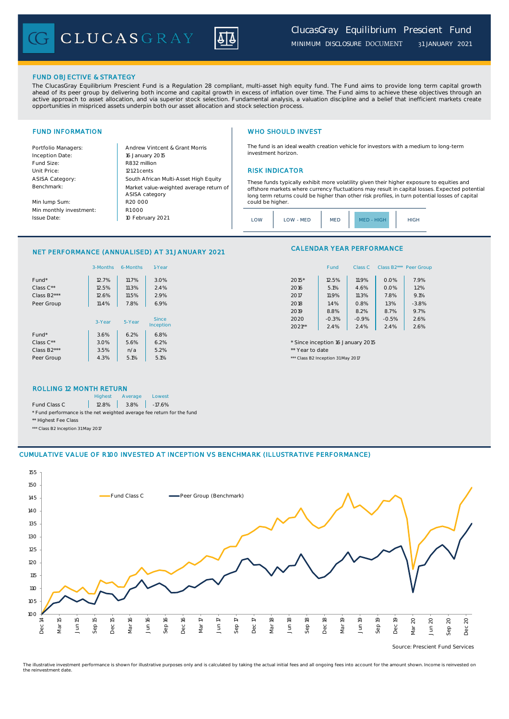CLUCASGRAY



### FUND OBJECTIVE & STRATEGY

The ClucasGray Equilibrium Prescient Fund is a Regulation 28 compliant, multi-asset high equity fund. The Fund aims to provide long term capital growth ahead of its peer group by delivering both income and capital growth in excess of inflation over time. The Fund aims to achieve these objectives through an<br>active approach to asset allocation, and via superior stock select opportunities in mispriced assets underpin both our asset allocation and stock selection process.

Inception Date: Fund Size: R832 million ASISA Category: Benchmark:

Min lump Sum: Min monthly investment: Issue Date:

Portfolio Managers: <br>Andrew Vintcent & Grant Morris Unit Price: 121.21 cents RISK INDICATOR South African Multi-Asset High Equity 16 January 2015 R20 000 Market value-weighted average return of ASISA category 10 February 2021  $R1000$ 

## FUND INFORMATION **WHO SHOULD INVEST**

The fund is an ideal wealth creation vehicle for investors with a medium to long-term investment horizon.

These funds typically exhibit more volatility given their higher exposure to equities and offshore markets where currency fluctuations may result in capital losses. Expected potential long term returns could be higher than other risk profiles, in turn potential losses of capital could be higher

### NET PERFORMANCE (ANNUALISED) AT 31 JANUARY 2021

|                          | 3-Months | 6-Months | 1-Year | Class B2*** Peer Gro<br>Fund<br>Class C   |                                               |
|--------------------------|----------|----------|--------|-------------------------------------------|-----------------------------------------------|
| Fund*                    | 12.7%    | 11.7%    | 3.0%   | 7.9%<br>12.5%<br>11.9%<br>0.0%<br>$2015*$ |                                               |
| Class C**                | 12.5%    | 11.3%    | 2.4%   | 1.2%<br>5.1%<br>0.0%<br>2016<br>4.6%      |                                               |
| Class B2***              | 12.6%    | 11.5%    | 2.9%   | 11.9%<br>7.8%<br>9.1%<br>2017<br>11.3%    |                                               |
| Peer Group               | 11.4%    | 7.8%     | 6.9%   | 1.4%<br>1.3%<br>$-3.8%$<br>2018<br>0.8%   |                                               |
|                          |          |          |        | 8.8%<br>8.7%<br>9.7%<br>2019<br>8.2%      |                                               |
|                          | 3-Year   | 5-Year   |        | Since                                     | $-0.3%$<br>$-0.5%$<br>2.6%<br>2020<br>$-0.9%$ |
|                          |          |          |        | Inception                                 | $2021**$<br>2.4%<br>2.6%<br>2.4%<br>2.4%      |
| Fund*                    | 3.6%     | 6.2%     | 6.8%   |                                           |                                               |
| Class $C^{\star\star}$   | 3.0%     | 5.6%     | 6.2%   | * Since inception 16 January 2015         |                                               |
| Class B <sub>2</sub> *** | 3.5%     | n/a      | 5.2%   | ** Year to date                           |                                               |
| Peer Group               | 4.3%     | 5.1%     | 5.1%   | *** Class B2 Inception 31 May 2017        |                                               |

## CALENDAR YEAR PERFORMANCE

| 1-Year  |          | Fund    | Class C | Class B <sub>2</sub> *** | Peer Group |
|---------|----------|---------|---------|--------------------------|------------|
| 3.0%    | 2015*    | 12.5%   | 11.9%   | 0.0%                     | 7.9%       |
| 2.4%    | 2016     | 5.1%    | 4.6%    | 0.0%                     | 1.2%       |
| 2.9%    | 2017     | 11.9%   | 11.3%   | 7.8%                     | 9.1%       |
| 6.9%    | 2018     | 1.4%    | 0.8%    | 1.3%                     | $-3.8%$    |
|         | 2019     | 8.8%    | 8.2%    | 8.7%                     | 9.7%       |
| Since   | 2020     | $-0.3%$ | $-0.9%$ | $-0.5%$                  | 2.6%       |
| ception | $2021**$ | 2.4%    | 2.4%    | 2.4%                     | 2.6%       |

### ROLLING 12 MONTH RETURN

|                                                                        | <b>Highest</b> | Average           | Lowest |  |  |
|------------------------------------------------------------------------|----------------|-------------------|--------|--|--|
| Fund Class C                                                           |                | 12.8% 3.8% -17.6% |        |  |  |
| * Fund performance is the net weighted average fee return for the fund |                |                   |        |  |  |
| ** Highest Fee Class                                                   |                |                   |        |  |  |

\*\*\* Class B2 Inception 31 May 2017

### CUMULATIVE VALUE OF R100 INVESTED AT INCEPTION VS BENCHMARK (ILLUSTRATIVE PERFORMANCE)



Source: Prescient Fund Services

The illustrative investment performance is shown for illustrative purposes only and is calculated by taking the actual initial fees and all ongoing fees into account for the amount shown. Income is reinvested on the reinvestment date.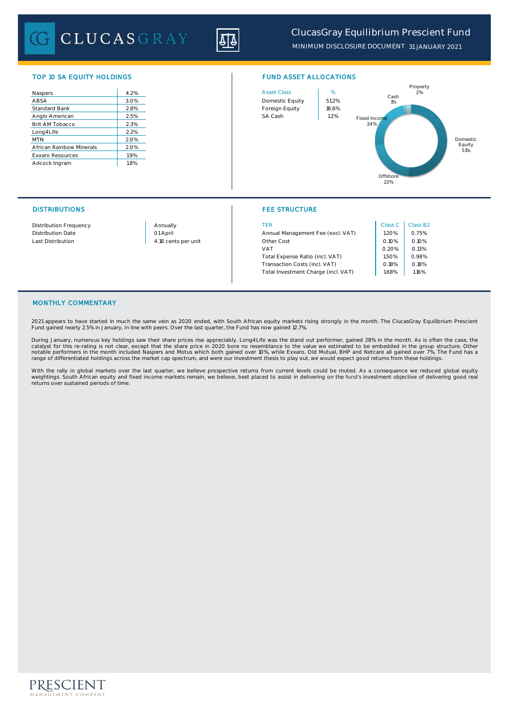CLUCASGRAY

| Naspers                  | 4.2% |
|--------------------------|------|
| ABSA                     | 3.0% |
| Standard Bank            | 2.8% |
| Anglo American           | 2.5% |
| Brit AM Tobacco          | 2.3% |
| Long4Life                | 2.2% |
| <b>MTN</b>               | 2.0% |
| African Rainbow Minerals | 2.0% |
| <b>Exxaro Resources</b>  | 1.9% |
| Adcock Ingram            | 1.8% |





### DISTRIBUTIONS FEE STRUCTURE

| <b>Distribution Frequency</b> | Annually            | TER                                 | Class C | Class B <sub>2</sub> |
|-------------------------------|---------------------|-------------------------------------|---------|----------------------|
| <b>Distribution Date</b>      | 01 April            | Annual Management Fee (excl. VAT)   | 1.20%   | 0.75%                |
| Last Distribution             | 4.18 cents per unit | Other Cost                          | 0.10%   | 0.10%                |
|                               |                     | VAT                                 | 0.20%   | 0.13%                |
|                               |                     | Total Expense Ratio (incl. VAT)     | 1.50%   | 0.98%                |
|                               |                     | Transaction Costs (incl. VAT)       | 0.18%   | 0.18%                |
|                               |                     | Total Investment Charge (incl. VAT) | .68%    | 1.16%                |

## MONTHLY COMMENTARY

2021 appears to have started in much the same vein as 2020 ended, with South African equity markets rising strongly in the month. The ClucasGray Equilibrium Prescient Fund gained nearly 2.5% in January, in line with peers. Over the last quarter, the Fund has now gained 12.7%.

During January, numerous key holdings saw their share prices rise appreciably. Long4Life was the stand out performer, gained 28% in the month. As is often the case, the catalyst for this re-rating is not clear, except that the share price in 2020 bore no resemblance to the value we estimated to be embedded in the group structure. Other<br>notable performers in the month included Naspers and range of differentiated holdings across the market cap spectrum, and were our investment thesis to play out, we would expect good returns from these holdings.

With the rally in global markets over the last quarter, we believe prospective returns from current levels could be muted. As a consequence we reduced global equity<br>weightings. South African equity and fixed income markets